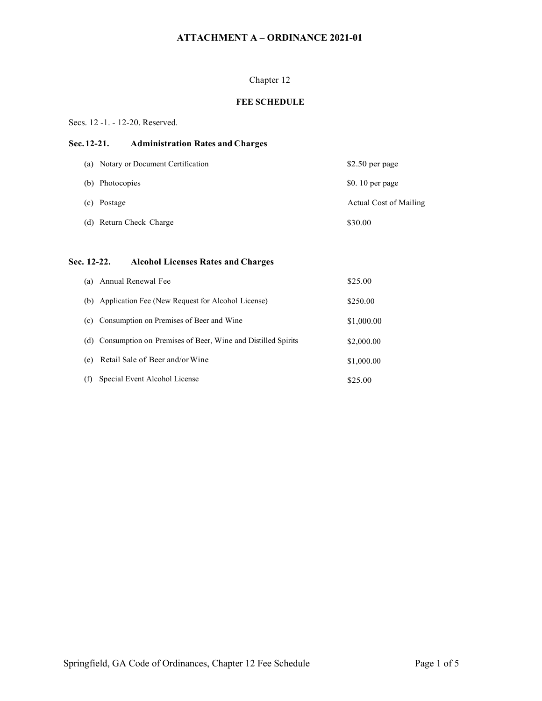## Chapter 12

## **FEE SCHEDULE**

#### Secs. 12 -1. - 12-20. Reserved.

## **Sec.12-21. Administration Rates and Charges**

| (a) Notary or Document Certification | $$2.50$ per page       |
|--------------------------------------|------------------------|
| (b) Photocopies                      | $$0.10$ per page       |
| (c) Postage                          | Actual Cost of Mailing |
| (d) Return Check Charge              | \$30.00                |

# **Sec. 12-22. Alcohol Licenses Rates and Charges**

| (a) | Annual Renewal Fee                                              | \$25.00    |
|-----|-----------------------------------------------------------------|------------|
|     | (b) Application Fee (New Request for Alcohol License)           | \$250.00   |
|     | (c) Consumption on Premises of Beer and Wine                    | \$1,000.00 |
|     | (d) Consumption on Premises of Beer, Wine and Distilled Spirits | \$2,000.00 |
| (e) | Retail Sale of Beer and/or Wine                                 | \$1,000.00 |
| (f) | Special Event Alcohol License                                   | \$25.00    |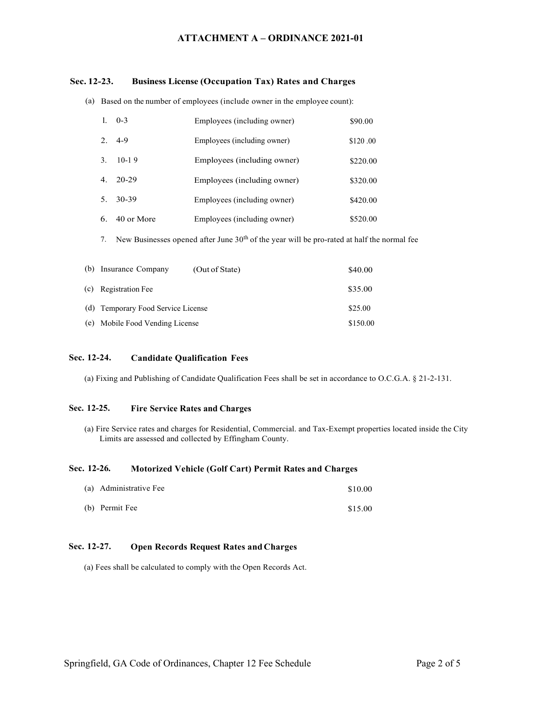#### **Sec. 12-23. Business License (Occupation Tax) Rates and Charges**

(a) Based on the number of employees (include owner in the employee count):

|    | $1.0 - -3$ | Employees (including owner) | \$90.00  |
|----|------------|-----------------------------|----------|
|    | $2.4-9$    | Employees (including owner) | \$120.00 |
|    | $3.10-19$  | Employees (including owner) | \$220.00 |
|    | $4.20-29$  | Employees (including owner) | \$320.00 |
|    | 5. 30-39   | Employees (including owner) | \$420.00 |
| 6. | 40 or More | Employees (including owner) | \$520.00 |

7. New Businesses opened after June  $30<sup>th</sup>$  of the year will be pro-rated at half the normal fee

| (b) Insurance Company              | (Out of State) | \$40.00  |
|------------------------------------|----------------|----------|
| (c) Registration Fee               |                | \$35.00  |
| (d) Temporary Food Service License |                | \$25.00  |
| (e) Mobile Food Vending License    |                | \$150.00 |

#### **Sec. 12-24. Candidate Qualification Fees**

(a) Fixing and Publishing of Candidate Qualification Fees shall be set in accordance to O.C.G.A. § 21-2-131.

## **Sec. 12-25. Fire Service Rates and Charges**

(a) Fire Service rates and charges for Residential, Commercial. and Tax-Exempt properties located inside the City Limits are assessed and collected by Effingham County.

#### **Sec. 12-26. Motorized Vehicle (Golf Cart) Permit Rates and Charges**

| (a) Administrative Fee | \$10.00 |
|------------------------|---------|
| (b) Permit Fee         | \$15.00 |

#### **Sec. 12-27. Open Records Request Rates and Charges**

(a) Fees shall be calculated to comply with the Open Records Act.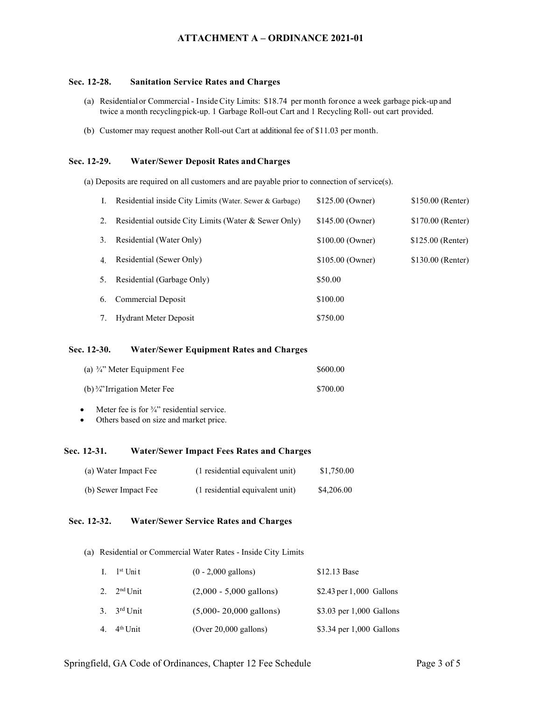#### **Sec. 12-28. Sanitation Service Rates and Charges**

- (a) Residentialor Commercial InsideCity Limits: \$18.74 per month foronce a week garbage pick-up and twice a month recyclingpick-up. 1 Garbage Roll-out Cart and 1 Recycling Roll- out cart provided.
- (b) Customer may request another Roll-out Cart at additional fee of \$11.03 per month.

#### **Sec. 12-29. Water/Sewer Deposit Rates andCharges**

(a) Deposits are required on all customers and are payable prior to connection of service(s).

| Ι. | Residential inside City Limits (Water. Sewer & Garbage) | \$125.00 (Owner) | \$150.00 (Renter) |
|----|---------------------------------------------------------|------------------|-------------------|
| 2. | Residential outside City Limits (Water & Sewer Only)    | \$145.00 (Owner) | \$170.00 (Renter) |
| 3. | Residential (Water Only)                                | \$100.00 (Owner) | \$125.00 (Renter) |
| 4. | Residential (Sewer Only)                                | \$105.00 (Owner) | \$130.00 (Renter) |
| 5. | Residential (Garbage Only)                              | \$50.00          |                   |
|    | 6. Commercial Deposit                                   | \$100.00         |                   |
| 7. | <b>Hydrant Meter Deposit</b>                            | \$750.00         |                   |

#### **Sec. 12-30. Water/Sewer Equipment Rates and Charges**

| (a) $\frac{3}{4}$ " Meter Equipment Fee | \$600.00 |
|-----------------------------------------|----------|
| (b) $\frac{3}{4}$ 'Irrigation Meter Fee | \$700.00 |

• Meter fee is for  $\frac{3}{4}$ " residential service.

• Others based on size and market price.

#### **Sec. 12-31. Water/Sewer Impact Fees Rates and Charges**

| (a) Water Impact Fee | (1 residential equivalent unit) | \$1,750.00 |
|----------------------|---------------------------------|------------|
| (b) Sewer Impact Fee | (1 residential equivalent unit) | \$4,206.00 |

#### **Sec. 12-32. Water/Sewer Service Rates and Charges**

(a) Residential or Commercial Water Rates - Inside City Limits

| I. $1^{st}$ Unit        | $(0 - 2,000$ gallons)      | \$12.13 Base             |
|-------------------------|----------------------------|--------------------------|
| 2. $2^{\text{nd}}$ Unit | $(2,000 - 5,000$ gallons)  | \$2.43 per 1,000 Gallons |
| 3. $3^{\text{rd}}$ Unit | $(5,000 - 20,000$ gallons) | \$3.03 per 1,000 Gallons |
| 4. $4^{\text{th}}$ Unit | (Over 20,000 gallons)      | \$3.34 per 1,000 Gallons |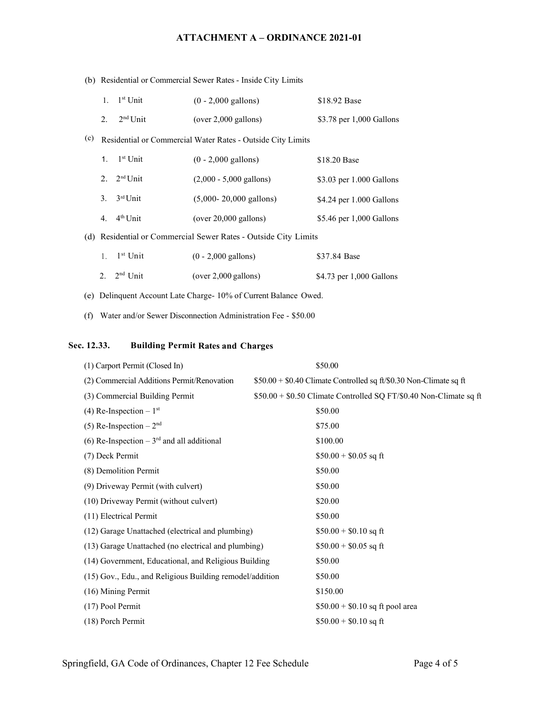|     | (b) Residential or Commercial Sewer Rates - Inside City Limits |                      |                                                                   |                          |
|-----|----------------------------------------------------------------|----------------------|-------------------------------------------------------------------|--------------------------|
|     | 1.                                                             | $1st$ Unit           | $(0 - 2,000$ gallons)                                             | \$18.92 Base             |
|     | 2.                                                             | 2 <sup>nd</sup> Unit | $(over 2,000$ gallons)                                            | \$3.78 per 1,000 Gallons |
| (c) |                                                                |                      | Residential or Commercial Water Rates - Outside City Limits       |                          |
|     | $1_{-}$                                                        | $1st$ Unit           | $(0 - 2,000$ gallons)                                             | \$18.20 Base             |
|     | 2.                                                             | 2 <sup>nd</sup> Unit | $(2,000 - 5,000 \text{ gallons})$                                 | \$3.03 per 1.000 Gallons |
|     | 3.                                                             | $3rd$ Unit           | $(5,000 - 20,000 \text{ gallons})$                                | \$4.24 per 1.000 Gallons |
|     | 4.                                                             | 4 <sup>th</sup> Unit | $(over 20,000 \text{ gallons})$                                   | \$5.46 per 1,000 Gallons |
|     |                                                                |                      | (d) Residential or Commercial Sewer Rates - Outside City Limits   |                          |
|     | $\mathbf{1}$ .                                                 | $1st$ Unit           | $(0 - 2,000$ gallons)                                             | \$37.84 Base             |
|     |                                                                | 2. $2nd Unit$        | $(over 2,000$ gallons)                                            | \$4.73 per 1,000 Gallons |
|     |                                                                |                      | (e) Delinquent Account Late Charge- 10% of Current Balance Owed.  |                          |
|     |                                                                |                      | (f) Water and/or Sewer Disconnection Administration Fee - \$50.00 |                          |
|     |                                                                |                      |                                                                   |                          |

# **Sec. 12.33. Building Permit Rates and Charges**

| (1) Carport Permit (Closed In)                           | \$50.00                                                            |
|----------------------------------------------------------|--------------------------------------------------------------------|
| (2) Commercial Additions Permit/Renovation               | \$50.00 + \$0.40 Climate Controlled sq ft/\$0.30 Non-Climate sq ft |
| (3) Commercial Building Permit                           | \$50.00 + \$0.50 Climate Controlled SQ FT/\$0.40 Non-Climate sq ft |
| (4) Re-Inspection $-1$ <sup>st</sup>                     | \$50.00                                                            |
| (5) Re-Inspection $-2nd$                                 | \$75.00                                                            |
| (6) Re-Inspection – $3rd$ and all additional             | \$100.00                                                           |
| (7) Deck Permit                                          | $$50.00 + $0.05$ sq ft                                             |
| (8) Demolition Permit                                    | \$50.00                                                            |
| (9) Driveway Permit (with culvert)                       | \$50.00                                                            |
| (10) Driveway Permit (without culvert)                   | \$20.00                                                            |
| (11) Electrical Permit                                   | \$50.00                                                            |
| (12) Garage Unattached (electrical and plumbing)         | $$50.00 + $0.10$ sq ft                                             |
| (13) Garage Unattached (no electrical and plumbing)      | $$50.00 + $0.05$ sq ft                                             |
| (14) Government, Educational, and Religious Building     | \$50.00                                                            |
| (15) Gov., Edu., and Religious Building remodel/addition | \$50.00                                                            |
| (16) Mining Permit                                       | \$150.00                                                           |
| (17) Pool Permit                                         | $$50.00 + $0.10$ sq ft pool area                                   |
| (18) Porch Permit                                        | $$50.00 + $0.10$ sq ft                                             |